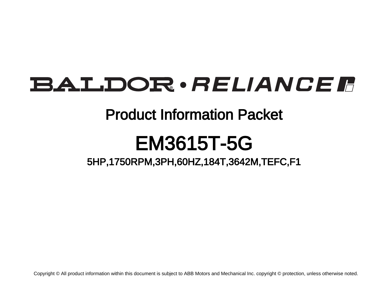# BALDOR · RELIANCE F

## Product Information Packet

# EM3615T-5G

5HP,1750RPM,3PH,60HZ,184T,3642M,TEFC,F1

Copyright © All product information within this document is subject to ABB Motors and Mechanical Inc. copyright © protection, unless otherwise noted.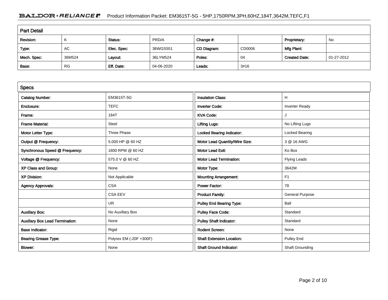### BALDOR · RELIANCE F Product Information Packet: EM3615T-5G - 5HP,1750RPM,3PH,60HZ,184T,3642M,TEFC,F1

| <b>Part Detail</b> |           |             |            |             |        |                      |            |  |
|--------------------|-----------|-------------|------------|-------------|--------|----------------------|------------|--|
| Revision:          | K         | Status:     | PRD/A      | Change #:   |        | Proprietary:         | No         |  |
| Type:              | AC        | Elec. Spec: | 36WGS551   | CD Diagram: | CD0006 | Mfg Plant:           |            |  |
| Mech. Spec:        | 36M524    | Layout:     | 36LYM524   | Poles:      | 04     | <b>Created Date:</b> | 01-27-2012 |  |
| Base:              | <b>RG</b> | Eff. Date:  | 04-06-2020 | Leads:      | 3#16   |                      |            |  |

| <b>Specs</b>                           |                         |                                  |                        |
|----------------------------------------|-------------------------|----------------------------------|------------------------|
| <b>Catalog Number:</b>                 | EM3615T-5G              | <b>Insulation Class:</b>         | н                      |
| Enclosure:                             | <b>TEFC</b>             | <b>Inverter Code:</b>            | <b>Inverter Ready</b>  |
| Frame:                                 | 184T                    | <b>KVA Code:</b>                 |                        |
| <b>Frame Material:</b>                 | Steel                   | <b>Lifting Lugs:</b>             | No Lifting Lugs        |
| Motor Letter Type:                     | Three Phase             | <b>Locked Bearing Indicator:</b> | Locked Bearing         |
| Output @ Frequency:                    | 5.000 HP @ 60 HZ        | Motor Lead Quantity/Wire Size:   | 3 @ 16 AWG             |
| Synchronous Speed @ Frequency:         | 1800 RPM @ 60 HZ        | <b>Motor Lead Exit:</b>          | Ko Box                 |
| Voltage @ Frequency:                   | 575.0 V @ 60 HZ         | <b>Motor Lead Termination:</b>   | <b>Flying Leads</b>    |
| XP Class and Group:                    | None                    | Motor Type:                      | 3642M                  |
| <b>XP Division:</b>                    | Not Applicable          | <b>Mounting Arrangement:</b>     | F <sub>1</sub>         |
| <b>Agency Approvals:</b>               | <b>CSA</b>              | <b>Power Factor:</b>             | 78                     |
|                                        | <b>CSA EEV</b>          | <b>Product Family:</b>           | <b>General Purpose</b> |
|                                        | UR                      | <b>Pulley End Bearing Type:</b>  | Ball                   |
| <b>Auxillary Box:</b>                  | No Auxillary Box        | <b>Pulley Face Code:</b>         | Standard               |
| <b>Auxillary Box Lead Termination:</b> | None                    | <b>Pulley Shaft Indicator:</b>   | Standard               |
| <b>Base Indicator:</b>                 | Rigid                   | <b>Rodent Screen:</b>            | None                   |
| <b>Bearing Grease Type:</b>            | Polyrex EM (-20F +300F) | <b>Shaft Extension Location:</b> | <b>Pulley End</b>      |
| <b>Blower:</b>                         | None                    | <b>Shaft Ground Indicator:</b>   | Shaft Grounding        |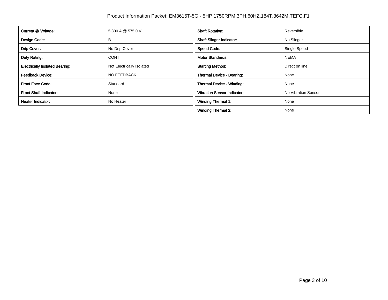| Current @ Voltage:                    | 5.300 A @ 575.0 V         | <b>Shaft Rotation:</b>             | Reversible          |
|---------------------------------------|---------------------------|------------------------------------|---------------------|
| Design Code:                          | в                         | <b>Shaft Slinger Indicator:</b>    | No Slinger          |
| Drip Cover:                           | No Drip Cover             | <b>Speed Code:</b>                 | Single Speed        |
| Duty Rating:                          | <b>CONT</b>               | <b>Motor Standards:</b>            | <b>NEMA</b>         |
| <b>Electrically Isolated Bearing:</b> | Not Electrically Isolated | <b>Starting Method:</b>            | Direct on line      |
| <b>Feedback Device:</b>               | NO FEEDBACK               | Thermal Device - Bearing:          | None                |
| <b>Front Face Code:</b>               | Standard                  | Thermal Device - Winding:          | None                |
| Front Shaft Indicator:                | None                      | <b>Vibration Sensor Indicator:</b> | No Vibration Sensor |
| Heater Indicator:                     | No Heater                 | <b>Winding Thermal 1:</b>          | None                |
|                                       |                           | <b>Winding Thermal 2:</b>          | None                |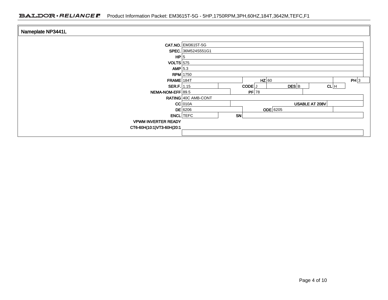| Nameplate NP3441L          |                              |  |  |  |
|----------------------------|------------------------------|--|--|--|
|                            | CAT.NO. EM3615T-5G           |  |  |  |
|                            | SPEC. 36M524S551G1           |  |  |  |
| HP 5                       |                              |  |  |  |
| $VOLTS$ 575                |                              |  |  |  |
| $AMP$ 5.3                  |                              |  |  |  |
|                            | <b>RPM</b> 1750              |  |  |  |
| $FRAME$ 184T               | PH 3<br>$HZ$ 60              |  |  |  |
| SER.F. 1.15                | $DES$ $B$<br>CL H<br>CODE J  |  |  |  |
| NEMA-NOM-EFF 89.5          | $PF$ 78                      |  |  |  |
|                            | RATING 40C AMB-CONT          |  |  |  |
|                            | $CC$ 010A<br>USABLE AT 208V  |  |  |  |
|                            | <b>ODE</b> 6205<br>$DE$ 6206 |  |  |  |
|                            | <b>ENCL</b> TEFC<br>SN       |  |  |  |
| <b>VPWM INVERTER READY</b> |                              |  |  |  |
| CT6-60H(10:1)VT3-60H(20:1  |                              |  |  |  |
|                            |                              |  |  |  |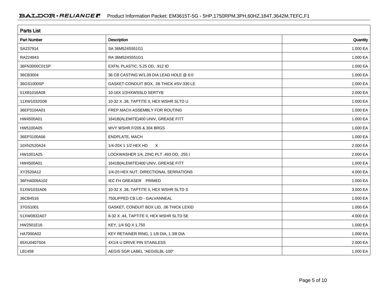| <b>Parts List</b>  |                                          |          |  |  |  |
|--------------------|------------------------------------------|----------|--|--|--|
| <b>Part Number</b> | Description                              | Quantity |  |  |  |
| SA237914           | SA 36M524S551G1                          | 1.000 EA |  |  |  |
| RA224843           | RA 36M524S551G1                          | 1.000 EA |  |  |  |
| 36FN3000C01SP      | EXFN, PLASTIC, 5.25 OD, .912 ID          | 1.000 EA |  |  |  |
| 36CB3004           | 36 CB CASTING W/1.09 DIA LEAD HOLE @ 6:0 | 1.000 EA |  |  |  |
| 36GS1000SP         | GASKET-CONDUIT BOX, .06 THICK #SV-330 LE | 1.000 EA |  |  |  |
| 51XB1016A08        | 10-16X 1/2HXWSSLD SERTYB                 | 2.000 EA |  |  |  |
| 11XW1032G06        | 10-32 X .38, TAPTITE II, HEX WSHR SLTD U | 1.000 EA |  |  |  |
| 36EP3104A01        | FREP MACH ASSEMBLY FOR ROUTING           | 1.000 EA |  |  |  |
| HW4500A01          | 1641B(ALEMITE)400 UNIV, GREASE FITT      | 1.000 EA |  |  |  |
| HW5100A05          | WVY WSHR F/205 & 304 BRGS                | 1.000 EA |  |  |  |
| 36EP3100A56        | ENDPLATE, MACH                           | 1.000 EA |  |  |  |
| 10XN2520A24        | 1/4-20X 1 1/2 HEX HD<br>$\mathsf{X}$     | 2.000 EA |  |  |  |
| HW1001A25          | LOCKWASHER 1/4, ZINC PLT .493 OD, .255 I | 2.000 EA |  |  |  |
| HW4500A01          | 1641B(ALEMITE)400 UNIV, GREASE FITT      | 1.000 EA |  |  |  |
| XY2520A12          | 1/4-20 HEX NUT, DIRECTIONAL SERRATIONS   | 4.000 EA |  |  |  |
| 36FH4009A102       | IEC FH GREASER PRIMED                    | 1.000 EA |  |  |  |
| 51XW1032A06        | 10-32 X .38, TAPTITE II, HEX WSHR SLTD S | 3.000 EA |  |  |  |
| 36CB4516           | 750LIPPED CB LID - GALVANNEAL            | 1.000 EA |  |  |  |
| 37GS1001           | GASKET, CONDUIT BOX LID, .06 THICK LEXID | 1.000 EA |  |  |  |
| 51XW0832A07        | 8-32 X .44, TAPTITE II, HEX WSHR SLTD SE | 4.000 EA |  |  |  |
| HW2501E16          | KEY, 1/4 SQ X 1.750                      | 1.000 EA |  |  |  |
| HA7000A02          | KEY RETAINER RING, 1 1/8 DIA, 1 3/8 DIA  | 1.000 EA |  |  |  |
| 85XU0407S04        | 4X1/4 U DRIVE PIN STAINLESS              | 2.000 EA |  |  |  |
| LB1459             | AEGIS SGR LABEL "AEGISLBL-100"           | 1.000 EA |  |  |  |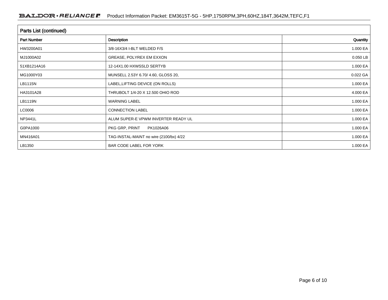| <b>Parts List (continued)</b> |                                         |          |  |  |  |  |
|-------------------------------|-----------------------------------------|----------|--|--|--|--|
| <b>Part Number</b>            | <b>Description</b>                      | Quantity |  |  |  |  |
| HW3200A01                     | 3/8-16X3/4 I-BLT WELDED F/S             | 1.000 EA |  |  |  |  |
| MJ1000A02                     | GREASE, POLYREX EM EXXON                | 0.050 LB |  |  |  |  |
| 51XB1214A16                   | 12-14X1.00 HXWSSLD SERTYB               | 1.000 EA |  |  |  |  |
| MG1000Y03                     | MUNSELL 2.53Y 6.70/ 4.60, GLOSS 20,     | 0.022 GA |  |  |  |  |
| LB1115N                       | LABEL, LIFTING DEVICE (ON ROLLS)        | 1.000 EA |  |  |  |  |
| HA3101A28                     | THRUBOLT 1/4-20 X 12.500 OHIO ROD       | 4.000 EA |  |  |  |  |
| LB1119N                       | <b>WARNING LABEL</b>                    | 1.000 EA |  |  |  |  |
| LC0006                        | <b>CONNECTION LABEL</b>                 | 1.000 EA |  |  |  |  |
| NP3441L                       | ALUM SUPER-E VPWM INVERTER READY UL     | 1.000 EA |  |  |  |  |
| G0PA1000                      | PKG GRP, PRINT<br>PK1026A06             | 1.000 EA |  |  |  |  |
| MN416A01                      | TAG-INSTAL-MAINT no wire (2100/bx) 4/22 | 1.000 EA |  |  |  |  |
| LB1350                        | BAR CODE LABEL FOR YORK                 | 1.000 EA |  |  |  |  |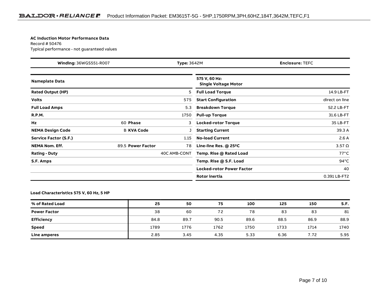#### **AC Induction Motor Performance Data**

Record # 50476Typical performance - not guaranteed values

| <b>Winding: 36WGS551-R007</b><br><b>Type: 3642M</b> |                   | <b>Enclosure: TEFC</b> |                                              |                |
|-----------------------------------------------------|-------------------|------------------------|----------------------------------------------|----------------|
| <b>Nameplate Data</b>                               |                   |                        | 575 V, 60 Hz:<br><b>Single Voltage Motor</b> |                |
| <b>Rated Output (HP)</b>                            |                   | 5                      | <b>Full Load Torque</b>                      | 14.9 LB-FT     |
| <b>Volts</b>                                        |                   | 575                    | <b>Start Configuration</b>                   | direct on line |
| <b>Full Load Amps</b>                               |                   | 5.3                    | <b>Breakdown Torque</b>                      | 52.2 LB-FT     |
| <b>R.P.M.</b>                                       |                   | 1750                   | <b>Pull-up Torque</b>                        | 31.6 LB-FT     |
| Hz                                                  | 60 Phase          | 3                      | <b>Locked-rotor Torque</b>                   | 35 LB-FT       |
| <b>NEMA Design Code</b>                             | <b>B KVA Code</b> |                        | <b>Starting Current</b>                      | 39.3 A         |
| <b>Service Factor (S.F.)</b>                        |                   | 1.15                   | <b>No-load Current</b>                       | 2.6A           |
| <b>NEMA Nom. Eff.</b>                               | 89.5 Power Factor | 78                     | Line-line Res. @ 25°C                        | $3.57\Omega$   |
| <b>Rating - Duty</b>                                |                   | 40C AMB-CONT           | Temp. Rise @ Rated Load                      | $77^{\circ}$ C |
| S.F. Amps                                           |                   |                        | Temp. Rise @ S.F. Load                       | $94^{\circ}$ C |
|                                                     |                   |                        | <b>Locked-rotor Power Factor</b>             | 40             |
|                                                     |                   |                        | <b>Rotor inertia</b>                         | 0.391 LB-FT2   |

### **Load Characteristics 575 V, 60 Hz, 5 HP**

| % of Rated Load     | 25   | 50   | 75   | 100  | 125  | 150  | S.F. |
|---------------------|------|------|------|------|------|------|------|
| <b>Power Factor</b> | 38   | 60   | 72   | 78   | 83   | 83   | 81   |
| <b>Efficiency</b>   | 84.8 | 89.7 | 90.5 | 89.6 | 88.5 | 86.9 | 88.9 |
| <b>Speed</b>        | 1789 | 1776 | 1762 | 1750 | 1733 | 1714 | 1740 |
| Line amperes        | 2.85 | 3.45 | 4.35 | 5.33 | 6.36 | 7.72 | 5.95 |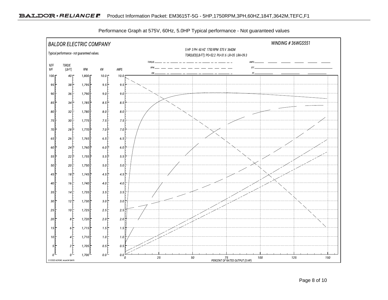

Performance Graph at 575V, 60Hz, 5.0HP Typical performance - Not guaranteed values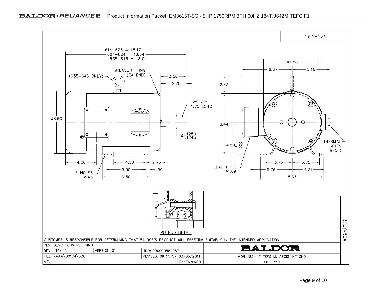